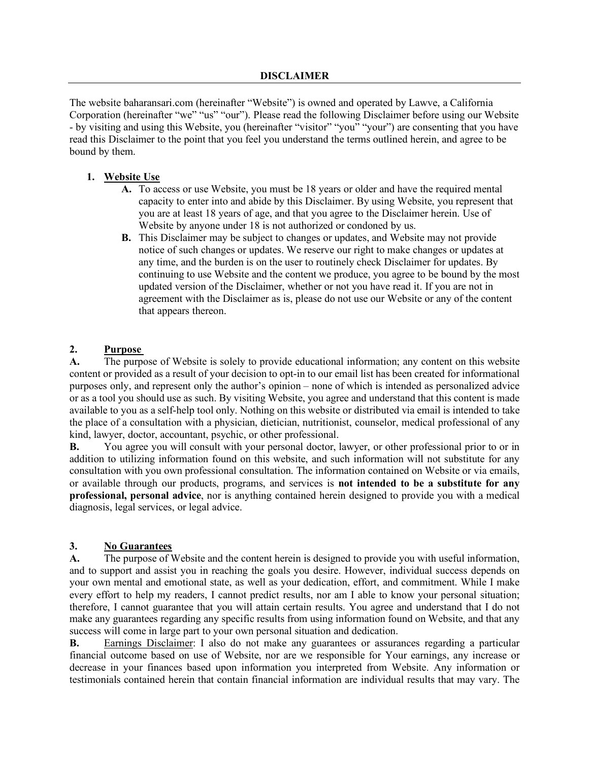The website baharansari.com (hereinafter "Website") is owned and operated by Lawve, a California Corporation (hereinafter "we" "us" "our"). Please read the following Disclaimer before using our Website - by visiting and using this Website, you (hereinafter "visitor" "you" "your") are consenting that you have read this Disclaimer to the point that you feel you understand the terms outlined herein, and agree to be bound by them.

# **1. Website Use**

- **A.** To access or use Website, you must be 18 years or older and have the required mental capacity to enter into and abide by this Disclaimer. By using Website, you represent that you are at least 18 years of age, and that you agree to the Disclaimer herein. Use of Website by anyone under 18 is not authorized or condoned by us.
- **B.** This Disclaimer may be subject to changes or updates, and Website may not provide notice of such changes or updates. We reserve our right to make changes or updates at any time, and the burden is on the user to routinely check Disclaimer for updates. By continuing to use Website and the content we produce, you agree to be bound by the most updated version of the Disclaimer, whether or not you have read it. If you are not in agreement with the Disclaimer as is, please do not use our Website or any of the content that appears thereon.

### **2. Purpose**

**A.** The purpose of Website is solely to provide educational information; any content on this website content or provided as a result of your decision to opt-in to our email list has been created for informational purposes only, and represent only the author's opinion – none of which is intended as personalized advice or as a tool you should use as such. By visiting Website, you agree and understand that this content is made available to you as a self-help tool only. Nothing on this website or distributed via email is intended to take the place of a consultation with a physician, dietician, nutritionist, counselor, medical professional of any kind, lawyer, doctor, accountant, psychic, or other professional.

**B.** You agree you will consult with your personal doctor, lawyer, or other professional prior to or in addition to utilizing information found on this website, and such information will not substitute for any consultation with you own professional consultation. The information contained on Website or via emails, or available through our products, programs, and services is **not intended to be a substitute for any professional, personal advice**, nor is anything contained herein designed to provide you with a medical diagnosis, legal services, or legal advice.

#### **3. No Guarantees**

**A.** The purpose of Website and the content herein is designed to provide you with useful information, and to support and assist you in reaching the goals you desire. However, individual success depends on your own mental and emotional state, as well as your dedication, effort, and commitment. While I make every effort to help my readers, I cannot predict results, nor am I able to know your personal situation; therefore, I cannot guarantee that you will attain certain results. You agree and understand that I do not make any guarantees regarding any specific results from using information found on Website, and that any success will come in large part to your own personal situation and dedication.

**B.** Earnings Disclaimer: I also do not make any guarantees or assurances regarding a particular financial outcome based on use of Website, nor are we responsible for Your earnings, any increase or decrease in your finances based upon information you interpreted from Website. Any information or testimonials contained herein that contain financial information are individual results that may vary. The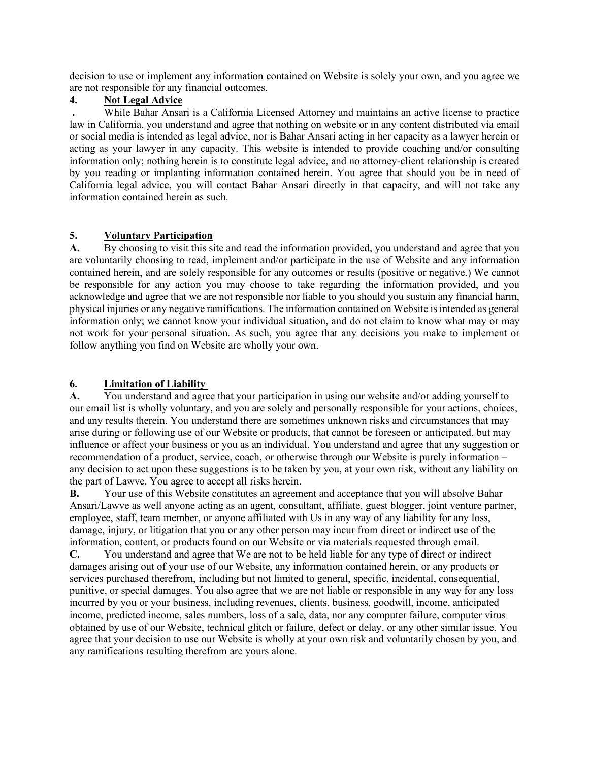decision to use or implement any information contained on Website is solely your own, and you agree we are not responsible for any financial outcomes.

### **4. Not Legal Advice**

**.** While Bahar Ansari is a California Licensed Attorney and maintains an active license to practice law in California, you understand and agree that nothing on website or in any content distributed via email or social media is intended as legal advice, nor is Bahar Ansari acting in her capacity as a lawyer herein or acting as your lawyer in any capacity. This website is intended to provide coaching and/or consulting information only; nothing herein is to constitute legal advice, and no attorney-client relationship is created by you reading or implanting information contained herein. You agree that should you be in need of California legal advice, you will contact Bahar Ansari directly in that capacity, and will not take any information contained herein as such.

# **5. Voluntary Participation**

**A.** By choosing to visit this site and read the information provided, you understand and agree that you are voluntarily choosing to read, implement and/or participate in the use of Website and any information contained herein, and are solely responsible for any outcomes or results (positive or negative.) We cannot be responsible for any action you may choose to take regarding the information provided, and you acknowledge and agree that we are not responsible nor liable to you should you sustain any financial harm, physical injuries or any negative ramifications. The information contained on Website is intended as general information only; we cannot know your individual situation, and do not claim to know what may or may not work for your personal situation. As such, you agree that any decisions you make to implement or follow anything you find on Website are wholly your own.

# **6. Limitation of Liability**

**A.** You understand and agree that your participation in using our website and/or adding yourself to our email list is wholly voluntary, and you are solely and personally responsible for your actions, choices, and any results therein. You understand there are sometimes unknown risks and circumstances that may arise during or following use of our Website or products, that cannot be foreseen or anticipated, but may influence or affect your business or you as an individual. You understand and agree that any suggestion or recommendation of a product, service, coach, or otherwise through our Website is purely information – any decision to act upon these suggestions is to be taken by you, at your own risk, without any liability on the part of Lawve. You agree to accept all risks herein.

**B.** Your use of this Website constitutes an agreement and acceptance that you will absolve Bahar Ansari/Lawve as well anyone acting as an agent, consultant, affiliate, guest blogger, joint venture partner, employee, staff, team member, or anyone affiliated with Us in any way of any liability for any loss, damage, injury, or litigation that you or any other person may incur from direct or indirect use of the information, content, or products found on our Website or via materials requested through email.

**C.** You understand and agree that We are not to be held liable for any type of direct or indirect damages arising out of your use of our Website, any information contained herein, or any products or services purchased therefrom, including but not limited to general, specific, incidental, consequential, punitive, or special damages. You also agree that we are not liable or responsible in any way for any loss incurred by you or your business, including revenues, clients, business, goodwill, income, anticipated income, predicted income, sales numbers, loss of a sale, data, nor any computer failure, computer virus obtained by use of our Website, technical glitch or failure, defect or delay, or any other similar issue. You agree that your decision to use our Website is wholly at your own risk and voluntarily chosen by you, and any ramifications resulting therefrom are yours alone.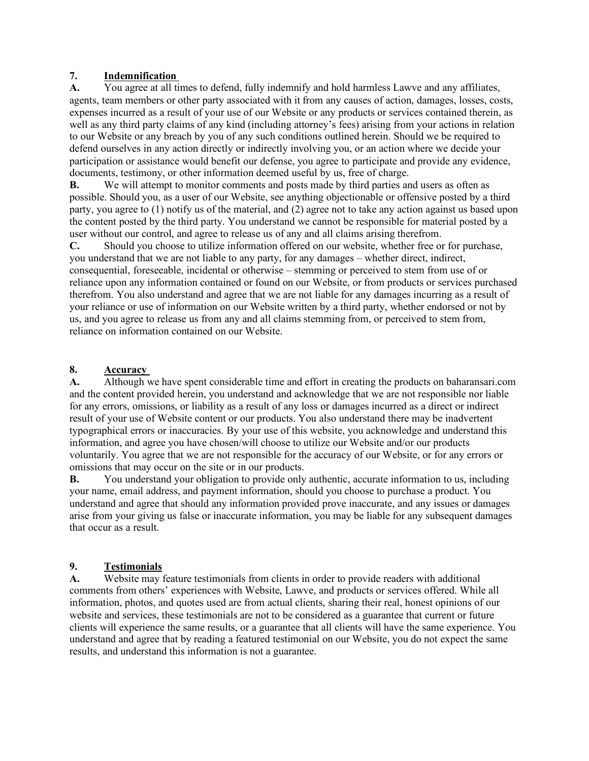### **7. Indemnification**

**A.** You agree at all times to defend, fully indemnify and hold harmless Lawve and any affiliates, agents, team members or other party associated with it from any causes of action, damages, losses, costs, expenses incurred as a result of your use of our Website or any products or services contained therein, as well as any third party claims of any kind (including attorney's fees) arising from your actions in relation to our Website or any breach by you of any such conditions outlined herein. Should we be required to defend ourselves in any action directly or indirectly involving you, or an action where we decide your participation or assistance would benefit our defense, you agree to participate and provide any evidence, documents, testimony, or other information deemed useful by us, free of charge.

**B.** We will attempt to monitor comments and posts made by third parties and users as often as possible. Should you, as a user of our Website, see anything objectionable or offensive posted by a third party, you agree to (1) notify us of the material, and (2) agree not to take any action against us based upon the content posted by the third party. You understand we cannot be responsible for material posted by a user without our control, and agree to release us of any and all claims arising therefrom.

**C.** Should you choose to utilize information offered on our website, whether free or for purchase, you understand that we are not liable to any party, for any damages – whether direct, indirect, consequential, foreseeable, incidental or otherwise – stemming or perceived to stem from use of or reliance upon any information contained or found on our Website, or from products or services purchased therefrom. You also understand and agree that we are not liable for any damages incurring as a result of your reliance or use of information on our Website written by a third party, whether endorsed or not by us, and you agree to release us from any and all claims stemming from, or perceived to stem from, reliance on information contained on our Website.

# **8. Accuracy**

**A.** Although we have spent considerable time and effort in creating the products on baharansari.com and the content provided herein, you understand and acknowledge that we are not responsible nor liable for any errors, omissions, or liability as a result of any loss or damages incurred as a direct or indirect result of your use of Website content or our products. You also understand there may be inadvertent typographical errors or inaccuracies. By your use of this website, you acknowledge and understand this information, and agree you have chosen/will choose to utilize our Website and/or our products voluntarily. You agree that we are not responsible for the accuracy of our Website, or for any errors or omissions that may occur on the site or in our products.

**B.** You understand your obligation to provide only authentic, accurate information to us, including your name, email address, and payment information, should you choose to purchase a product. You understand and agree that should any information provided prove inaccurate, and any issues or damages arise from your giving us false or inaccurate information, you may be liable for any subsequent damages that occur as a result.

### **9. Testimonials**

**A.** Website may feature testimonials from clients in order to provide readers with additional comments from others' experiences with Website, Lawve, and products or services offered. While all information, photos, and quotes used are from actual clients, sharing their real, honest opinions of our website and services, these testimonials are not to be considered as a guarantee that current or future clients will experience the same results, or a guarantee that all clients will have the same experience. You understand and agree that by reading a featured testimonial on our Website, you do not expect the same results, and understand this information is not a guarantee.